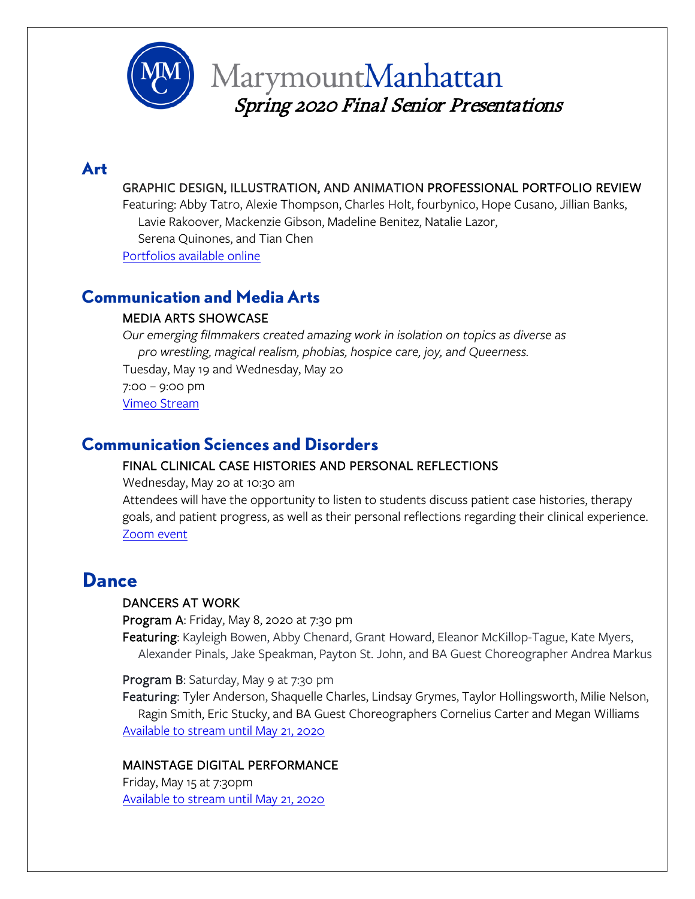

### **Art**

#### GRAPHIC DESIGN, ILLUSTRATION, AND ANIMATION PROFESSIONAL PORTFOLIO REVIEW

Featuring: Abby Tatro, Alexie Thompson, Charles Holt, fourbynico, Hope Cusano, Jillian Banks, Lavie Rakoover, Mackenzie Gibson, Madeline Benitez, Natalie Lazor, Serena Quinones, and Tian Chen

[Portfolios available online](https://www.mmm.edu/departments/art/professional-portfolio-day/index.php)

# **Communication and Media Arts**

#### MEDIA ARTS SHOWCASE

*Our emerging filmmakers created amazing work in isolation on topics as diverse as pro wrestling, magical realism, phobias, hospice care, joy, and Queerness.* Tuesday, May 19 and Wednesday, May 20

7:00 – 9:00 pm [Vimeo Stream](https://vimeopro.com/mmccommarts/showcase2020)

# **Communication Sciences and Disorders**

#### FINAL CLINICAL CASE HISTORIES AND PERSONAL REFLECTIONS

Wednesday, May 20 at 10:30 am

Attendees will have the opportunity to listen to students discuss patient case histories, therapy goals, and patient progress, as well as their personal reflections regarding their clinical experience. [Zoom event](https://marymount.zoom.us/j/7557315120)

# **Dance**

#### DANCERS AT WORK

Program A: Friday, May 8, 2020 at 7:30 pm

Featuring: Kayleigh Bowen, Abby Chenard, Grant Howard, Eleanor McKillop-Tague, Kate Myers, Alexander Pinals, Jake Speakman, Payton St. John, and BA Guest Choreographer Andrea Markus

Program B: Saturday, May 9 at 7:30 pm

Featuring: Tyler Anderson, Shaquelle Charles, Lindsay Grymes, Taylor Hollingsworth, Milie Nelson, Ragin Smith, Eric Stucky, and BA Guest Choreographers Cornelius Carter and Megan Williams [Available to stream until May 21, 2020](https://www.bellxmarymount2020.org/?fbclid=IwAR36mEisjTbGBVn4YmDqrO6fCBvsZjxEXtz2cBEkWc_3IrF_KcYgAGPcyiE)

#### MAINSTAGE DIGITAL PERFORMANCE

Friday, May 15 at 7:30pm [Available to stream until May 21, 2020](https://www.bellxmarymount2020.org/?fbclid=IwAR36mEisjTbGBVn4YmDqrO6fCBvsZjxEXtz2cBEkWc_3IrF_KcYgAGPcyiE)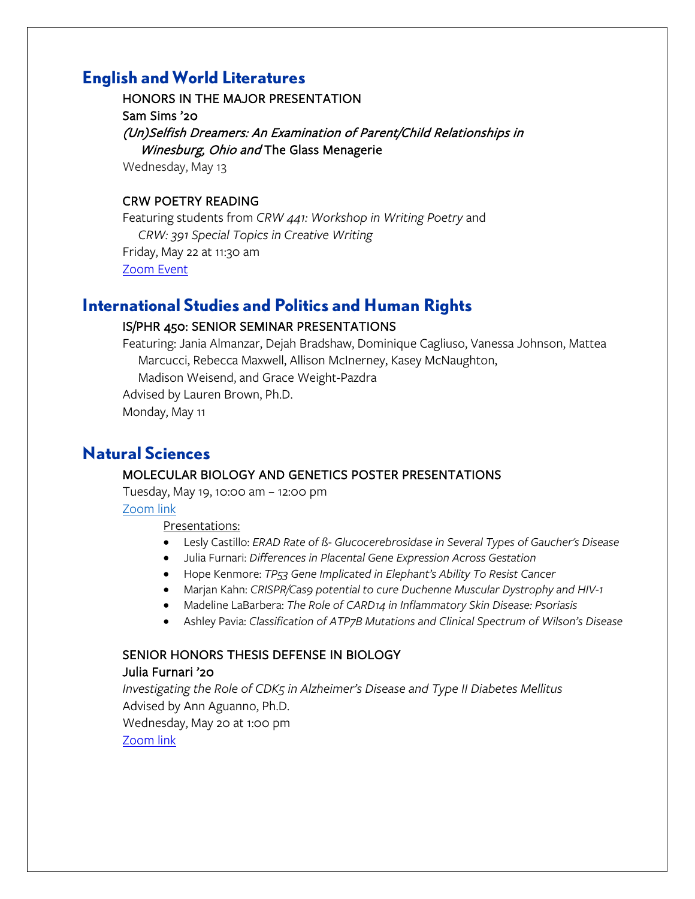### **English and World Literatures**

HONORS IN THE MAJOR PRESENTATION Sam Sims '20 (Un)Selfish Dreamers: An Examination of Parent/Child Relationships in Winesburg, Ohio and The Glass Menagerie

Wednesday, May 13

#### CRW POETRY READING

Featuring students from *CRW 441: Workshop in Writing Poetry* and *CRW: 391 Special Topics in Creative Writing* Friday, May 22 at 11:30 am [Zoom Event](https://marymount.zoom.us/j/7557315120)

### **International Studies and Politics and Human Rights**

#### IS/PHR 450: SENIOR SEMINAR PRESENTATIONS

Featuring: Jania Almanzar, Dejah Bradshaw, Dominique Cagliuso, Vanessa Johnson, Mattea Marcucci, Rebecca Maxwell, Allison McInerney, Kasey McNaughton, Madison Weisend, and Grace Weight-Pazdra

Advised by Lauren Brown, Ph.D.

Monday, May 11

### **Natural Sciences**

#### MOLECULAR BIOLOGY AND GENETICS POSTER PRESENTATIONS

Tuesday, May 19, 10:00 am – 12:00 pm

[Zoom link](https://marymount.zoom.us/j/95628465994)

Presentations:

- Lesly Castillo: *ERAD Rate of ß- Glucocerebrosidase in Several Types of Gaucher's Disease*
- Julia Furnari: *Differences in Placental Gene Expression Across Gestation*
- Hope Kenmore: *TP53 Gene Implicated in Elephant's Ability To Resist Cancer*
- Marjan Kahn: *CRISPR/Cas9 potential to cure Duchenne Muscular Dystrophy and HIV-1*
- Madeline LaBarbera: *The Role of CARD14 in Inflammatory Skin Disease: Psoriasis*
- Ashley Pavia: *Classification of ATP7B Mutations and Clinical Spectrum of Wilson's Disease*

#### SENIOR HONORS THESIS DEFENSE IN BIOLOGY

#### Julia Furnari '20

*Investigating the Role of CDK5 in Alzheimer's Disease and Type II Diabetes Mellitus* Advised by Ann Aguanno, Ph.D. Wednesday, May 20 at 1:00 pm [Zoom link](https://marymount.zoom.us/j/94464229136)